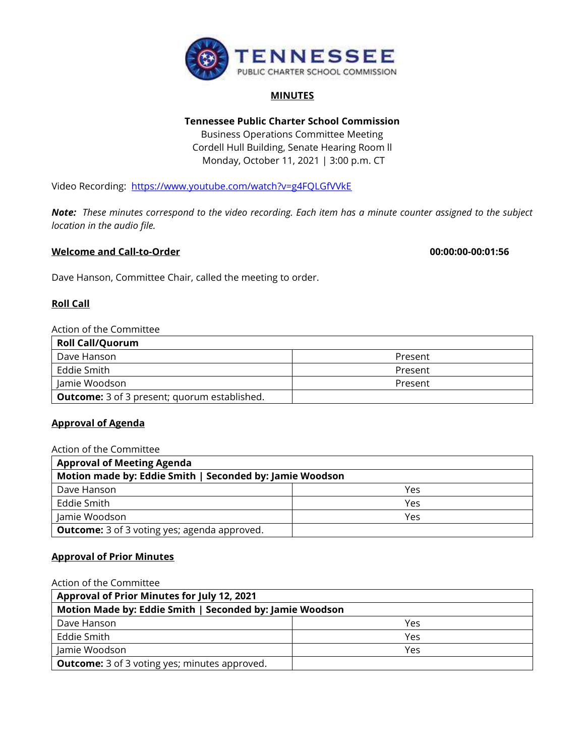

## **MINUTES**

# **Tennessee Public Charter School Commission**

Business Operations Committee Meeting Cordell Hull Building, Senate Hearing Room ll Monday, October 11, 2021 | 3:00 p.m. CT

Video Recording: <https://www.youtube.com/watch?v=g4FQLGfVVkE>

*Note: These minutes correspond to the video recording. Each item has a minute counter assigned to the subject location in the audio file.*

## **Welcome and Call-to-Order 00:00:00-00:01:56**

Dave Hanson, Committee Chair, called the meeting to order.

## **Roll Call**

## Action of the Committee

| <b>Roll Call/Quorum</b>                             |         |
|-----------------------------------------------------|---------|
| Dave Hanson                                         | Present |
| Eddie Smith                                         | Present |
| Jamie Woodson                                       | Present |
| <b>Outcome:</b> 3 of 3 present; quorum established. |         |

## **Approval of Agenda**

| Action of the Committee                                  |     |  |
|----------------------------------------------------------|-----|--|
| <b>Approval of Meeting Agenda</b>                        |     |  |
| Motion made by: Eddie Smith   Seconded by: Jamie Woodson |     |  |
| Dave Hanson                                              | Yes |  |
| Eddie Smith                                              | Yes |  |
| Jamie Woodson                                            | Yes |  |
| <b>Outcome:</b> 3 of 3 voting yes; agenda approved.      |     |  |

### **Approval of Prior Minutes**

#### Action of the Committee

| <b>Approval of Prior Minutes for July 12, 2021</b>       |     |
|----------------------------------------------------------|-----|
| Motion Made by: Eddie Smith   Seconded by: Jamie Woodson |     |
| Dave Hanson                                              | Yes |
| Eddie Smith                                              | Yes |
| Jamie Woodson                                            | Yes |
| <b>Outcome:</b> 3 of 3 voting yes; minutes approved.     |     |